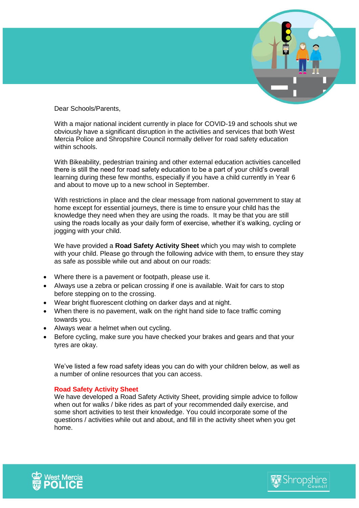

Dear Schools/Parents,

With a major national incident currently in place for COVID-19 and schools shut we obviously have a significant disruption in the activities and services that both West Mercia Police and Shropshire Council normally deliver for road safety education within schools.

With Bikeability, pedestrian training and other external education activities cancelled there is still the need for road safety education to be a part of your child's overall learning during these few months, especially if you have a child currently in Year 6 and about to move up to a new school in September.

With restrictions in place and the clear message from national government to stay at home except for essential journeys, there is time to ensure your child has the knowledge they need when they are using the roads. It may be that you are still using the roads locally as your daily form of exercise, whether it's walking, cycling or jogging with your child.

We have provided a **Road Safety Activity Sheet** which you may wish to complete with your child. Please go through the following advice with them, to ensure they stay as safe as possible while out and about on our roads:

- Where there is a pavement or footpath, please use it.
- Always use a zebra or pelican crossing if one is available. Wait for cars to stop before stepping on to the crossing.
- Wear bright fluorescent clothing on darker days and at night.
- When there is no pavement, walk on the right hand side to face traffic coming towards you.
- Always wear a helmet when out cycling.
- Before cycling, make sure you have checked your brakes and gears and that your tyres are okay.

We've listed a few road safety ideas you can do with your children below, as well as a number of online resources that you can access.

# **Road Safety Activity Sheet**

We have developed a Road Safety Activity Sheet, providing simple advice to follow when out for walks / bike rides as part of your recommended daily exercise, and some short activities to test their knowledge. You could incorporate some of the questions / activities while out and about, and fill in the activity sheet when you get home.